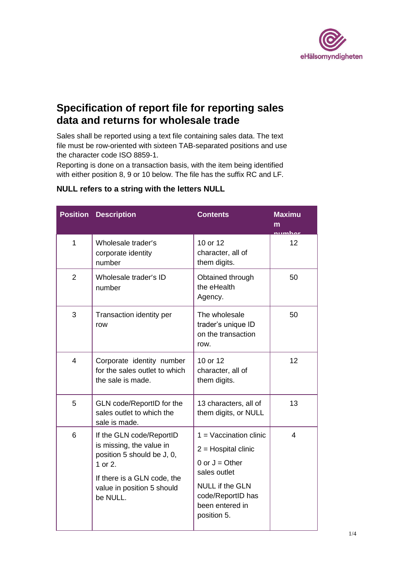

## **Specification of report file for reporting sales data and returns for wholesale trade**

Sales shall be reported using a text file containing sales data. The text file must be row-oriented with sixteen TAB-separated positions and use the character code ISO 8859-1.

Reporting is done on a transaction basis, with the item being identified with either position 8, 9 or 10 below. The file has the suffix RC and LF.

|                | <b>Position Description</b>                                                                                                                                            | <b>Contents</b>                                                                                                                                                        | <b>Maximu</b><br>m<br>numhar |
|----------------|------------------------------------------------------------------------------------------------------------------------------------------------------------------------|------------------------------------------------------------------------------------------------------------------------------------------------------------------------|------------------------------|
| 1              | Wholesale trader's<br>corporate identity<br>number                                                                                                                     | 10 or 12<br>character, all of<br>them digits.                                                                                                                          | 12                           |
| $\overline{2}$ | Wholesale trader's ID<br>number                                                                                                                                        | Obtained through<br>the eHealth<br>Agency.                                                                                                                             | 50                           |
| 3              | Transaction identity per<br>row                                                                                                                                        | The wholesale<br>trader's unique ID<br>on the transaction<br>row.                                                                                                      | 50                           |
| $\overline{4}$ | Corporate identity number<br>for the sales outlet to which<br>the sale is made.                                                                                        | 10 or 12<br>character, all of<br>them digits.                                                                                                                          | 12                           |
| 5              | GLN code/ReportID for the<br>sales outlet to which the<br>sale is made.                                                                                                | 13 characters, all of<br>them digits, or NULL                                                                                                                          | 13                           |
| 6              | If the GLN code/ReportID<br>is missing, the value in<br>position 5 should be J, 0,<br>1 or 2.<br>If there is a GLN code, the<br>value in position 5 should<br>be NULL. | $1 =$ Vaccination clinic<br>$2 =$ Hospital clinic<br>0 or $J =$ Other<br>sales outlet<br><b>NULL if the GLN</b><br>code/ReportID has<br>been entered in<br>position 5. | 4                            |

## **NULL refers to a string with the letters NULL**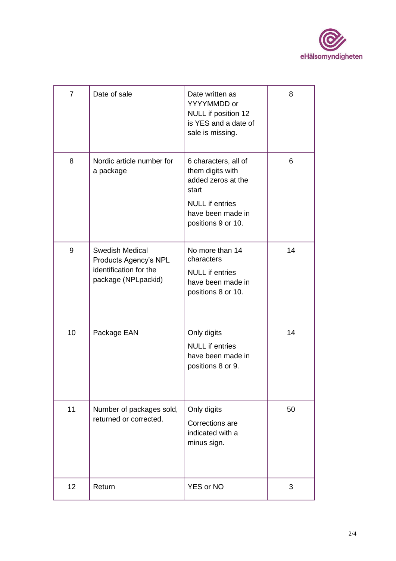

| $\overline{7}$ | Date of sale                                                                                     | Date written as<br>YYYYMMDD or<br>NULL if position 12<br>is YES and a date of<br>sale is missing.                                            | 8  |
|----------------|--------------------------------------------------------------------------------------------------|----------------------------------------------------------------------------------------------------------------------------------------------|----|
| 8              | Nordic article number for<br>a package                                                           | 6 characters, all of<br>them digits with<br>added zeros at the<br>start<br><b>NULL</b> if entries<br>have been made in<br>positions 9 or 10. | 6  |
| 9              | <b>Swedish Medical</b><br>Products Agency's NPL<br>identification for the<br>package (NPLpackid) | No more than 14<br>characters<br><b>NULL</b> if entries<br>have been made in<br>positions 8 or 10.                                           | 14 |
| 10             | Package EAN                                                                                      | Only digits<br><b>NULL</b> if entries<br>have been made in<br>positions 8 or 9.                                                              | 14 |
| 11             | Number of packages sold,<br>returned or corrected.                                               | Only digits<br>Corrections are<br>indicated with a<br>minus sign.                                                                            | 50 |
| 12             | Return                                                                                           | <b>YES or NO</b>                                                                                                                             | 3  |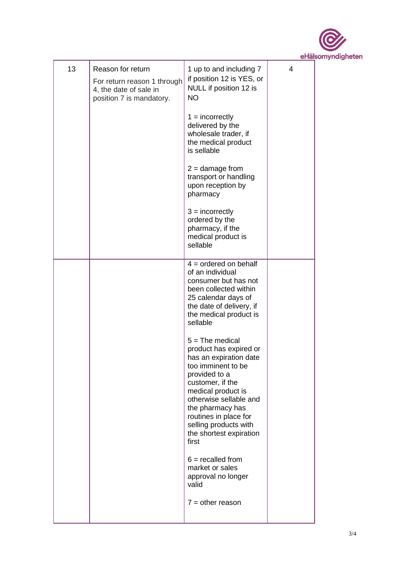

| 13 | Reason for return<br>For return reason 1 through<br>4, the date of sale in<br>position 7 is mandatory. | 1 up to and including 7<br>if position 12 is YES, or<br>NULL if position 12 is<br><b>NO</b>                                                                                                                                                                                                | 4 |
|----|--------------------------------------------------------------------------------------------------------|--------------------------------------------------------------------------------------------------------------------------------------------------------------------------------------------------------------------------------------------------------------------------------------------|---|
|    |                                                                                                        | $1 =$ incorrectly<br>delivered by the<br>wholesale trader, if<br>the medical product<br>is sellable                                                                                                                                                                                        |   |
|    |                                                                                                        | $2 =$ damage from<br>transport or handling<br>upon reception by<br>pharmacy                                                                                                                                                                                                                |   |
|    |                                                                                                        | $3 =$ incorrectly<br>ordered by the<br>pharmacy, if the<br>medical product is<br>sellable                                                                                                                                                                                                  |   |
|    |                                                                                                        | $4 =$ ordered on behalf<br>of an individual<br>consumer but has not<br>been collected within<br>25 calendar days of<br>the date of delivery, if<br>the medical product is<br>sellable                                                                                                      |   |
|    |                                                                                                        | $5 =$ The medical<br>product has expired or<br>has an expiration date<br>too imminent to be<br>provided to a<br>customer, if the<br>medical product is<br>otherwise sellable and<br>the pharmacy has<br>routines in place for<br>selling products with<br>the shortest expiration<br>first |   |
|    |                                                                                                        | $6 =$ recalled from<br>market or sales<br>approval no longer<br>valid                                                                                                                                                                                                                      |   |
|    |                                                                                                        | $7 = other reason$                                                                                                                                                                                                                                                                         |   |